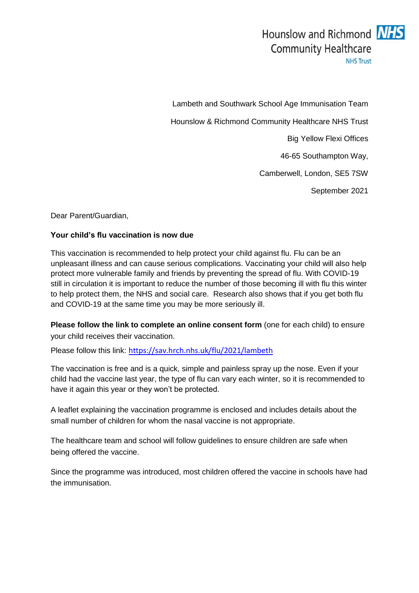

Lambeth and Southwark School Age Immunisation Team Hounslow & Richmond Community Healthcare NHS Trust Big Yellow Flexi Offices 46-65 Southampton Way, Camberwell, London, SE5 7SW September 2021

Dear Parent/Guardian,

## **Your child's flu vaccination is now due**

This vaccination is recommended to help protect your child against flu. Flu can be an unpleasant illness and can cause serious complications. Vaccinating your child will also help protect more vulnerable family and friends by preventing the spread of flu. With COVID-19 still in circulation it is important to reduce the number of those becoming ill with flu this winter to help protect them, the NHS and social care. Research also shows that if you get both flu and COVID-19 at the same time you may be more seriously ill.

**Please follow the link to complete an online consent form** (one for each child) to ensure your child receives their vaccination.

Please follow this link: <https://sav.hrch.nhs.uk/flu/2021/lambeth>

The vaccination is free and is a quick, simple and painless spray up the nose. Even if your child had the vaccine last year, the type of flu can vary each winter, so it is recommended to have it again this year or they won't be protected.

A leaflet explaining the vaccination programme is enclosed and includes details about the small number of children for whom the nasal vaccine is not appropriate.

The healthcare team and school will follow guidelines to ensure children are safe when being offered the vaccine.

Since the programme was introduced, most children offered the vaccine in schools have had the immunisation.